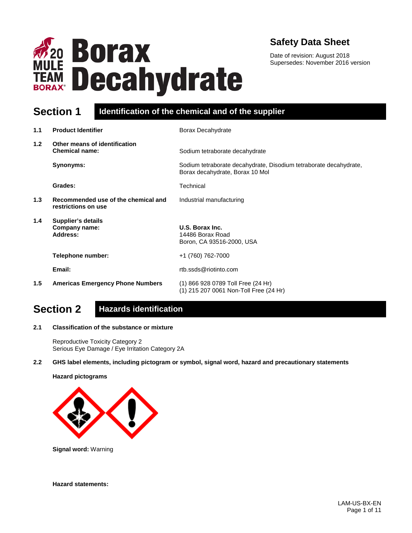

### **Safety Data Sheet**

Date of revision: August 2018 Supersedes: November 2016 version

### **Section 1 Identification of the chemical and of the supplier**

| 1.1              | <b>Product Identifier</b>                                  | Borax Decahydrate                                                                                    |
|------------------|------------------------------------------------------------|------------------------------------------------------------------------------------------------------|
| 1.2 <sub>2</sub> | Other means of identification<br><b>Chemical name:</b>     | Sodium tetraborate decahydrate                                                                       |
|                  | Synonyms:                                                  | Sodium tetraborate decahydrate, Disodium tetraborate decahydrate,<br>Borax decahydrate, Borax 10 Mol |
|                  | Grades:                                                    | Technical                                                                                            |
| 1.3              | Recommended use of the chemical and<br>restrictions on use | Industrial manufacturing                                                                             |
| $1.4^{\circ}$    | <b>Supplier's details</b><br>Company name:<br>Address:     | U.S. Borax Inc.<br>14486 Borax Road<br>Boron, CA 93516-2000, USA                                     |
|                  | Telephone number:                                          | +1 (760) 762-7000                                                                                    |
|                  | Email:                                                     | rtb.ssds@riotinto.com                                                                                |
| 1.5              | <b>Americas Emergency Phone Numbers</b>                    | (1) 866 928 0789 Toll Free (24 Hr)<br>(1) 215 207 0061 Non-Toll Free (24 Hr)                         |

# **Section 2 Hazards identification**

#### **2.1 Classification of the substance or mixture**

Reproductive Toxicity Category 2 Serious Eye Damage / Eye Irritation Category 2A

#### **2.2 GHS label elements, including pictogram or symbol, signal word, hazard and precautionary statements**

**Hazard pictograms**



**Signal word:** Warning

**Hazard statements:**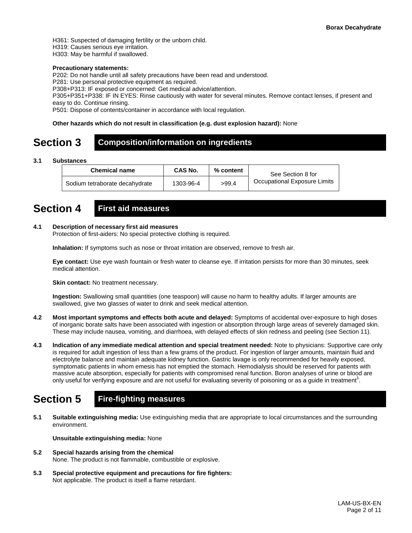H361: Suspected of damaging fertility or the unborn child.

H319: Causes serious eye irritation.

H303: May be harmful if swallowed.

#### **Precautionary statements:**

P202: Do not handle until all safety precautions have been read and understood.

P281: Use personal protective equipment as required.

P308+P313: IF exposed or concerned: Get medical advice/attention.

P305+P351+P338: IF IN EYES: Rinse cautiously with water for several minutes. Remove contact lenses, if present and easy to do. Continue rinsing.

P501: Dispose of contents/container in accordance with local regulation.

#### **Other hazards which do not result in classification (e.g. dust explosion hazard):** None

### **Section 3 Composition/information on ingredients**

#### **3.1 Substances**

| <b>Chemical name</b>           | CAS No.   | % content | See Section 8 for            |
|--------------------------------|-----------|-----------|------------------------------|
| Sodium tetraborate decahydrate | 1303-96-4 | >99.4     | Occupational Exposure Limits |

### **Section 4 First aid measures**

#### **4.1 Description of necessary first aid measures**

Protection of first-aiders: No special protective clothing is required.

**Inhalation:** If symptoms such as nose or throat irritation are observed, remove to fresh air.

**Eye contact:** Use eye wash fountain or fresh water to cleanse eye. If irritation persists for more than 30 minutes, seek medical attention.

**Skin contact:** No treatment necessary.

**Ingestion:** Swallowing small quantities (one teaspoon) will cause no harm to healthy adults. If larger amounts are swallowed, give two glasses of water to drink and seek medical attention.

- **4.2 Most important symptoms and effects both acute and delayed:** Symptoms of accidental over-exposure to high doses of inorganic borate salts have been associated with ingestion or absorption through large areas of severely damaged skin. These may include nausea, vomiting, and diarrhoea, with delayed effects of skin redness and peeling (see Section 11).
- **4.3 Indication of any immediate medical attention and special treatment needed:** Note to physicians: Supportive care only is required for adult ingestion of less than a few grams of the product. For ingestion of larger amounts, maintain fluid and electrolyte balance and maintain adequate kidney function. Gastric lavage is only recommended for heavily exposed, symptomatic patients in whom emesis has not emptied the stomach. Hemodialysis should be reserved for patients with massive acute absorption, especially for patients with compromised renal function. Boron analyses of urine or blood are only useful for verifying exposure and are not useful for evaluating severity of poisoning or as a guide in treatment<sup>1</sup>.

## **Section 5 Fire-fighting measures**

**5.1 Suitable extinguishing media:** Use extinguishing media that are appropriate to local circumstances and the surrounding environment.

**Unsuitable extinguishing media:** None

- **5.2 Special hazards arising from the chemical** None. The product is not flammable, combustible or explosive.
- **5.3 Special protective equipment and precautions for fire fighters:**  Not applicable. The product is itself a flame retardant.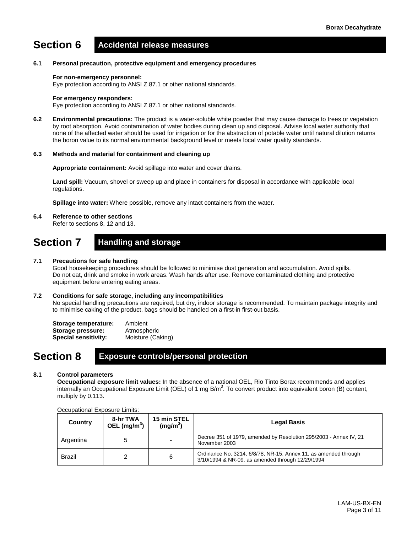# **Section 6 Accidental release measures**

#### **6.1 Personal precaution, protective equipment and emergency procedures**

#### **For non-emergency personnel:**

Eye protection according to ANSI Z.87.1 or other national standards.

#### **For emergency responders:**

Eye protection according to ANSI Z.87.1 or other national standards.

**6.2 Environmental precautions:** The product is a water-soluble white powder that may cause damage to trees or vegetation by root absorption. Avoid contamination of water bodies during clean up and disposal. Advise local water authority that none of the affected water should be used for irrigation or for the abstraction of potable water until natural dilution returns the boron value to its normal environmental background level or meets local water quality standards.

#### **6.3 Methods and material for containment and cleaning up**

**Appropriate containment:** Avoid spillage into water and cover drains.

**Land spill:** Vacuum, shovel or sweep up and place in containers for disposal in accordance with applicable local regulations.

**Spillage into water:** Where possible, remove any intact containers from the water.

#### **6.4 Reference to other sections**

Refer to sections 8, 12 and 13.

### **Section 7 Handling and storage**

#### **7.1 Precautions for safe handling**

Good housekeeping procedures should be followed to minimise dust generation and accumulation. Avoid spills. Do not eat, drink and smoke in work areas. Wash hands after use. Remove contaminated clothing and protective equipment before entering eating areas.

#### **7.2 Conditions for safe storage, including any incompatibilities**

No special handling precautions are required, but dry, indoor storage is recommended. To maintain package integrity and to minimise caking of the product, bags should be handled on a first-in first-out basis.

| Storage temperature:        | Ambient           |
|-----------------------------|-------------------|
| Storage pressure:           | Atmospheric       |
| <b>Special sensitivity:</b> | Moisture (Caking) |

### **Section 8 Exposure controls/personal protection**

#### **8.1 Control parameters**

**Occupational exposure limit values:** In the absence of a national OEL, Rio Tinto Borax recommends and applies internally an Occupational Exposure Limit (OEL) of 1 mg B/m<sup>3</sup>. To convert product into equivalent boron (B) content, multiply by 0.113.

| Country       | 8-hr TWA<br>OEL $(mg/m^3)$ | 15 min STEL<br>(mg/m <sup>3</sup> ) | <b>Legal Basis</b>                                                                                                  |
|---------------|----------------------------|-------------------------------------|---------------------------------------------------------------------------------------------------------------------|
| Argentina     |                            | $\overline{\phantom{0}}$            | Decree 351 of 1979, amended by Resolution 295/2003 - Annex IV, 21<br>November 2003                                  |
| <b>Brazil</b> |                            | 6                                   | Ordinance No. 3214, 6/8/78, NR-15, Annex 11, as amended through<br>3/10/1994 & NR-09, as amended through 12/29/1994 |

#### Occupational Exposure Limits: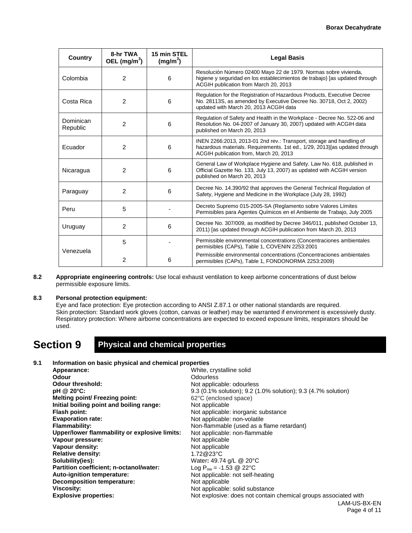| Country               | 8-hr TWA<br>OEL $(mg/m3)$                        | 15 min STEL<br>(mg/m <sup>3</sup> ) | <b>Legal Basis</b>                                                                                                                                                                      |
|-----------------------|--------------------------------------------------|-------------------------------------|-----------------------------------------------------------------------------------------------------------------------------------------------------------------------------------------|
| Colombia              | $\overline{2}$                                   | 6                                   | Resolución Número 02400 Mayo 22 de 1979. Normas sobre vivienda,<br>higiene y seguridad en los establecimientos de trabajo) [as updated through<br>ACGIH publication from March 20, 2013 |
| Costa Rica            | 2                                                | 6                                   | Regulation for the Registration of Hazardous Products, Executive Decree<br>No. 28113S, as amended by Executive Decree No. 30718, Oct 2, 2002)<br>updated with March 20, 2013 ACGIH data |
| Dominican<br>Republic | $\overline{2}$                                   | 6                                   | Regulation of Safety and Health in the Workplace - Decree No. 522-06 and<br>Resolution No. 04-2007 of January 30, 2007) updated with ACGIH data<br>published on March 20, 2013          |
| Ecuador               | 2<br>6<br>ACGIH publication from, March 20, 2013 |                                     | INEN 2266:2013, 2013-01 2nd rev.: Transport, storage and handling of<br>hazardous materials. Requirements. 1st ed., 1/29, 2013) [as updated through                                     |
| Nicaragua             | 2                                                | 6                                   | General Law of Workplace Hygiene and Safety. Law No. 618, published in<br>Official Gazette No. 133, July 13, 2007) as updated with ACGIH version<br>published on March 20, 2013         |
| Paraguay              | 2                                                | 6                                   | Decree No. 14.390/92 that approves the General Technical Regulation of<br>Safety, Hygiene and Medicine in the Workplace (July 28, 1992)                                                 |
| Peru                  | 5                                                |                                     | Decreto Supremo 015-2005-SA (Reglamento sobre Valores Límites<br>Permisibles para Agentes Químicos en el Ambiente de Trabajo, July 2005                                                 |
| Uruguay               | 2                                                | 6                                   | Decree No. 307/009, as modified by Decree 346/011, published October 13,<br>2011) [as updated through ACGIH publication from March 20, 2013                                             |
| Venezuela             | 5                                                |                                     | Permissible environmental concentrations (Concentraciones ambientales<br>permisibles (CAPs), Table 1, COVENIN 2253:2001                                                                 |
|                       | 2                                                | 6                                   | Permissible environmental concentrations (Concentraciones ambientales<br>permisibles (CAPs), Table 1, FONDONORMA 2253:2009)                                                             |

**8.2 Appropriate engineering controls:** Use local exhaust ventilation to keep airborne concentrations of dust below permissible exposure limits.

#### **8.3 Personal protection equipment:**

Eye and face protection: Eye protection according to ANSI Z.87.1 or other national standards are required. Skin protection: Standard work gloves (cotton, canvas or leather) may be warranted if environment is excessively dusty. Respiratory protection: Where airborne concentrations are expected to exceed exposure limits, respirators should be used.

### **Section 9 Physical and chemical properties**

### **9.1 Information on basic physical and chemical properties**

| Appearance:                                   | White, crystalline solid                                        |
|-----------------------------------------------|-----------------------------------------------------------------|
| Odour                                         | Odourless                                                       |
| <b>Odour threshold:</b>                       | Not applicable: odourless                                       |
| pH @ 20°C:                                    | 9.3 (0.1% solution); 9.2 (1.0% solution); 9.3 (4.7% solution)   |
| <b>Melting point/ Freezing point:</b>         | 62°C (enclosed space)                                           |
| Initial boiling point and boiling range:      | Not applicable                                                  |
| Flash point:                                  | Not applicable: inorganic substance                             |
| <b>Evaporation rate:</b>                      | Not applicable: non-volatile                                    |
| <b>Flammability:</b>                          | Non-flammable (used as a flame retardant)                       |
| Upper/lower flammability or explosive limits: | Not applicable: non-flammable                                   |
| Vapour pressure:                              | Not applicable                                                  |
| Vapour density:                               | Not applicable                                                  |
| <b>Relative density:</b>                      | 1.72@23°C                                                       |
| Solubility(ies):                              | Water: 49.74 g/L @ 20°C                                         |
| Partition coefficient; n-octanol/water:       | Log $P_{ow} = -1.53$ @ 22°C                                     |
| Auto-ignition temperature:                    | Not applicable: not self-heating                                |
| <b>Decomposition temperature:</b>             | Not applicable                                                  |
| Viscosity:                                    | Not applicable: solid substance                                 |
| <b>Explosive properties:</b>                  | Not explosive: does not contain chemical groups associated with |
|                                               | LAM-US-BX-EN                                                    |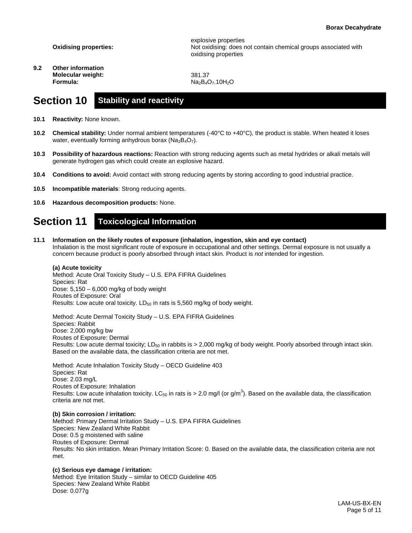**Oxidising properties:**

**9.2 Other information Molecular weight: Formula:**

explosive properties Not oxidising: does not contain chemical groups associated with oxidising properties

381.37  $Na<sub>2</sub>B<sub>4</sub>O<sub>7</sub>$ .10H<sub>2</sub>O

### **Section 10 Stability and reactivity**

- **10.1 Reactivity:** None known.
- **10.2 Chemical stability:** Under normal ambient temperatures (-40°C to +40°C), the product is stable. When heated it loses water, eventually forming anhydrous borax ( $Na<sub>2</sub>B<sub>4</sub>O<sub>7</sub>$ ).
- **10.3 Possibility of hazardous reactions:** Reaction with strong reducing agents such as metal hydrides or alkali metals will generate hydrogen gas which could create an explosive hazard.
- **10.4 Conditions to avoid:** Avoid contact with strong reducing agents by storing according to good industrial practice.
- **10.5 Incompatible materials**: Strong reducing agents.
- **10.6 Hazardous decomposition products:** None.

### **Section 11 Toxicological Information**

**11.1 Information on the likely routes of exposure (inhalation, ingestion, skin and eye contact)** Inhalation is the most significant route of exposure in occupational and other settings. Dermal exposure is not usually a concern because product is poorly absorbed through intact skin. Product is *not* intended for ingestion.

#### **(a) Acute toxicity**

Method: Acute Oral Toxicity Study – U.S. EPA FIFRA Guidelines Species: Rat Dose: 5,150 – 6,000 mg/kg of body weight Routes of Exposure: Oral Results: Low acute oral toxicity.  $LD_{50}$  in rats is 5,560 mg/kg of body weight.

Method: Acute Dermal Toxicity Study – U.S. EPA FIFRA Guidelines Species: Rabbit Dose: 2,000 mg/kg bw Routes of Exposure: Dermal Results: Low acute dermal toxicity; LD<sub>50</sub> in rabbits is  $> 2,000$  mg/kg of body weight. Poorly absorbed through intact skin. Based on the available data, the classification criteria are not met.

Method: Acute Inhalation Toxicity Study – OECD Guideline 403 Species: Rat Dose: 2.03 mg/L Routes of Exposure: Inhalation Results: Low acute inhalation toxicity. LC<sub>50</sub> in rats is > 2.0 mg/l (or g/m<sup>3</sup>). Based on the available data, the classification criteria are not met.

#### **(b) Skin corrosion / irritation:**

Method: Primary Dermal Irritation Study – U.S. EPA FIFRA Guidelines Species: New Zealand White Rabbit Dose: 0.5 g moistened with saline Routes of Exposure: Dermal Results: No skin irritation. Mean Primary Irritation Score: 0. Based on the available data, the classification criteria are not met.

#### **(c) Serious eye damage / irritation:**

Method: Eye Irritation Study – similar to OECD Guideline 405 Species: New Zealand White Rabbit Dose: 0.077g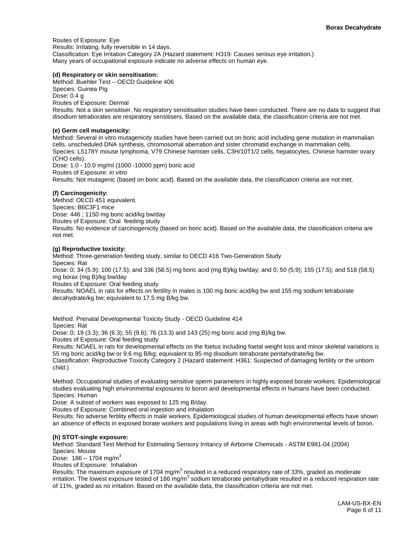Routes of Exposure: Eye Results: Irritating, fully reversible in 14 days. Classification: Eye Irritation Category 2A (Hazard statement: H319: Causes serious eye irritation.) Many years of occupational exposure indicate no adverse effects on human eye.

#### **(d) Respiratory or skin sensitisation:**

Method: Buehler Test – OECD Guideline 406 Species: Guinea Pig Dose: 0.4 g Routes of Exposure: Dermal Results: Not a skin sensitiser. No respiratory sensitisation studies have been conducted. There are no data to suggest that disodium tetraborates are respiratory sensitisers. Based on the available data, the classification criteria are not met.

#### **(e) Germ cell mutagenicity:**

Method: Several in vitro mutagenicity studies have been carried out on boric acid including gene mutation in mammalian cells, unscheduled DNA synthesis, chromosomal aberration and sister chromatid exchange in mammalian cells. Species: L5178Y mouse lymphoma, V79 Chinese hamster cells, C3H/10T1/2 cells, hepatocytes, Chinese hamster ovary (CHO cells). Dose: 1.0 - 10.0 mg/ml (1000 -10000 ppm) boric acid Routes of Exposure: *in vitro* Results: Not mutagenic (based on boric acid). Based on the available data, the classification criteria are not met.

#### **(f) Carcinogenicity:**

Method: OECD 451 equivalent. Species: B6C3F1 mice Dose: 446 ; 1150 mg boric acid/kg bw/day Routes of Exposure: Oral feeding study Results: No evidence of carcinogenicity (based on boric acid). Based on the available data, the classification criteria are not met.

#### **(g) Reproductive toxicity:**

Method: Three-generation feeding study, similar to OECD 416 Two-Generation Study Species: Rat Dose: 0; 34 (5.9); 100 (17.5); and 336 (58.5) mg boric acid (mg B)/kg bw/day; and 0; 50 (5.9); 155 (17.5); and 518 (58.5) mg borax (mg B)/kg bw/day Routes of Exposure: Oral feeding study Results: NOAEL in rats for effects on fertility in males is 100 mg boric acid/kg bw and 155 mg sodium tetraborate decahydrate/kg bw; equivalent to 17.5 mg B/kg bw.

Method: Prenatal Developmental Toxicity Study - OECD Guideline 414

Species: Rat

Dose: 0; 19 (3.3); 36 (6.3); 55 (9.6); 76 (13.3) and 143 (25) mg boric acid (mg B)/kg bw.

Routes of Exposure: Oral feeding study

Results: NOAEL in rats for developmental effects on the foetus including foetal weight loss and minor skeletal variations is 55 mg boric acid/kg bw or 9.6 mg B/kg; equivalent to 85 mg disodium tetraborate pentahydrate/kg bw.

Classification: Reproductive Toxicity Category 2 (Hazard statement: H361: Suspected of damaging fertility or the unborn child.)

Method: Occupational studies of evaluating sensitive sperm parameters in highly exposed borate workers. Epidemiological studies evaluating high environmental exposures to boron and developmental effects in humans have been conducted. Species: Human

Dose: A subset of workers was exposed to 125 mg B/day.

Routes of Exposure: Combined oral ingestion and inhalation

Results: No adverse fertility effects in male workers. Epidemiological studies of human developmental effects have shown an absence of effects in exposed borate workers and populations living in areas with high environmental levels of boron.

#### **(h) STOT-single exposure:**

Method: Standard Test Method for Estimating Sensory Irritancy of Airborne Chemicals - ASTM E981-04 (2004) Species: Mouse

Dose:  $186 - 1704$  mg/m<sup>3</sup>

Routes of Exposure: Inhalation

Results: The maximum exposure of 1704 mg/m<sup>3</sup> resulted in a reduced respiratory rate of 33%, graded as moderate irritation. The lowest exposure tested of 186 mg/m<sup>3</sup> sodium tetraborate pentahydrate resulted in a reduced respiration rate of 11%, graded as no irritation. Based on the available data, the classification criteria are not met.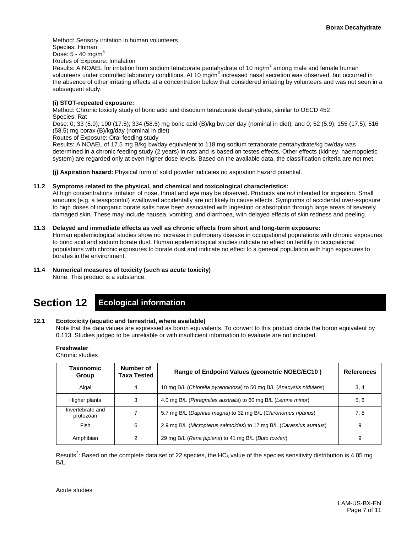Method: Sensory irritation in human volunteers Species: Human Dose:  $5 - 40$  mg/m $^3$ 

Routes of Exposure: Inhalation

Results: A NOAEL for irritation from sodium tetraborate pentahydrate of 10 mg/m<sup>3</sup> among male and female human volunteers under controlled laboratory conditions. At 10  $mg/m<sup>3</sup>$  increased nasal secretion was observed, but occurred in the absence of other irritating effects at a concentration below that considered irritating by volunteers and was not seen in a subsequent study.

#### **(i) STOT-repeated exposure:**

Method: Chronic toxicity study of boric acid and disodium tetraborate decahydrate, similar to OECD 452 Species: Rat

Dose: 0; 33 (5.9); 100 (17.5); 334 (58.5) mg boric acid (B)/kg bw per day (nominal in diet); and 0; 52 (5.9); 155 (17.5); 516 (58.5) mg borax (B)/kg/day (nominal in diet)

Routes of Exposure: Oral feeding study

Results: A NOAEL of 17.5 mg B/kg bw/day equivalent to 118 mg sodium tetraborate pentahydrate/kg bw/day was determined in a chronic feeding study (2 years) in rats and is based on testes effects. Other effects (kidney, haemopoietic system) are regarded only at even higher dose levels. Based on the available data, the classification criteria are not met.

**(j) Aspiration hazard:** Physical form of solid powder indicates no aspiration hazard potential.

#### **11.2 Symptoms related to the physical, and chemical and toxicological characteristics:**

At high concentrations irritation of nose, throat and eye may be observed. Products are *not* intended for ingestion. Small amounts (e.g. a teaspoonful) swallowed accidentally are not likely to cause effects. Symptoms of accidental over-exposure to high doses of inorganic borate salts have been associated with ingestion or absorption through large areas of severely damaged skin. These may include nausea, vomiting, and diarrhoea, with delayed effects of skin redness and peeling.

#### **11.3 Delayed and immediate effects as well as chronic effects from short and long-term exposure:**

Human epidemiological studies show no increase in pulmonary disease in occupational populations with chronic exposures to boric acid and sodium borate dust. Human epidemiological studies indicate no effect on fertility in occupational populations with chronic exposures to borate dust and indicate no effect to a general population with high exposures to borates in the environment.

### **11.4 Numerical measures of toxicity (such as acute toxicity)**

None. This product is a substance.

# **Section 12 Ecological information**

#### **12.1 Ecotoxicity (aquatic and terrestrial, where available)**

Note that the data values are expressed as boron equivalents. To convert to this product divide the boron equivalent by 0.113. Studies judged to be unreliable or with insufficient information to evaluate are not included.

**Freshwater**

Chronic studies

| Taxonomic<br>Group            | Number of<br>Taxa Tested | Range of Endpoint Values (geometric NOEC/EC10)                      | <b>References</b> |
|-------------------------------|--------------------------|---------------------------------------------------------------------|-------------------|
| Algal                         | 4                        | 10 mg B/L (Chlorella pyrenoidosa) to 50 mg B/L (Anacystis nidulans) | 3, 4              |
| Higher plants                 | 3                        | 4.0 mg B/L (Phragmites australis) to 60 mg B/L (Lemna minor)        | 5, 6              |
| Invertebrate and<br>protozoan |                          | 5.7 mg B/L (Daphnia magna) to 32 mg B/L (Chironomus riparius)       | 7, 8              |
| Fish                          | 6                        | 2.9 mg B/L (Micropterus salmoides) to 17 mg B/L (Carassius auratus) | 9                 |
| Amphibian                     |                          | 29 mg B/L (Rana pipiens) to 41 mg B/L (Bufo fowleri)                | 9                 |

Results<sup>2</sup>: Based on the complete data set of 22 species, the HC<sub>5</sub> value of the species sensitivity distribution is 4.05 mg B/L.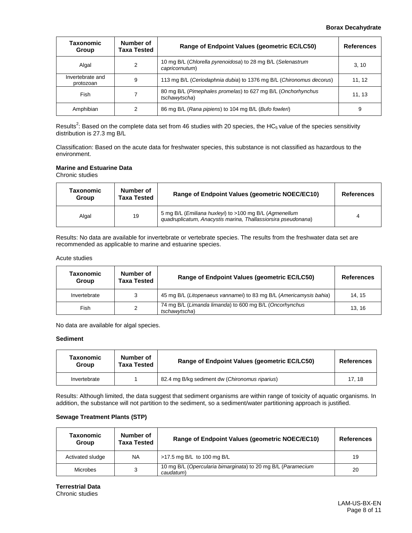#### **Borax Decahydrate**

| Taxonomic<br>Group            | Number of<br>Taxa Tested | Range of Endpoint Values (geometric EC/LC50)                                  | <b>References</b> |
|-------------------------------|--------------------------|-------------------------------------------------------------------------------|-------------------|
| Algal                         | 2                        | 10 mg B/L (Chlorella pyrenoidosa) to 28 mg B/L (Selenastrum<br>capricornutum) | 3, 10             |
| Invertebrate and<br>protozoan | 9                        | 113 mg B/L (Ceriodaphnia dubia) to 1376 mg B/L (Chironomus decorus)           | 11, 12            |
| Fish                          |                          | 80 mg B/L (Pimephales promelas) to 627 mg B/L (Onchorhynchus<br>tschawytscha) | 11, 13            |
| Amphibian                     |                          | 86 mg B/L (Rana pipiens) to 104 mg B/L (Bufo fowleri)                         | 9                 |

Results<sup>2</sup>: Based on the complete data set from 46 studies with 20 species, the HC<sub>5</sub> value of the species sensitivity distribution is 27.3 mg B/L

Classification: Based on the acute data for freshwater species, this substance is not classified as hazardous to the environment.

#### **Marine and Estuarine Data**

Chronic studies

| Taxonomic<br>Group | Number of<br><b>Taxa Tested</b> | Range of Endpoint Values (geometric NOEC/EC10)                                                                          | <b>References</b> |
|--------------------|---------------------------------|-------------------------------------------------------------------------------------------------------------------------|-------------------|
| Algal              | 19                              | 5 mg B/L (Emiliana huxleyi) to >100 mg B/L (Agmenellum<br>guadruplicatum, Anacystis marina, Thallassiorsira pseudonana) |                   |

Results: No data are available for invertebrate or vertebrate species. The results from the freshwater data set are recommended as applicable to marine and estuarine species.

#### Acute studies

| Taxonomic<br>Group | Number of<br><b>Taxa Tested</b> | Range of Endpoint Values (geometric EC/LC50)                             | <b>References</b> |
|--------------------|---------------------------------|--------------------------------------------------------------------------|-------------------|
| Invertebrate       | 3                               | 45 mg B/L (Litopenaeus vannamei) to 83 mg B/L (Americamysis bahia)       | 14.15             |
| Fish               | 2                               | 74 mg B/L (Limanda limanda) to 600 mg B/L (Oncorhynchus<br>tschawytscha) | 13.16             |

No data are available for algal species.

#### **Sediment**

| Taxonomic<br>Group | Number of<br><b>Taxa Tested</b> | Range of Endpoint Values (geometric EC/LC50)   | References |
|--------------------|---------------------------------|------------------------------------------------|------------|
| Invertebrate       |                                 | 82.4 mg B/kg sediment dw (Chironomus riparius) | 17.18      |

Results: Although limited, the data suggest that sediment organisms are within range of toxicity of aquatic organisms. In addition, the substance will not partition to the sediment, so a sediment/water partitioning approach is justified.

#### **Sewage Treatment Plants (STP)**

| Taxonomic<br>Group | Number of<br><b>Taxa Tested</b> | Range of Endpoint Values (geometric NOEC/EC10)                            | <b>References</b> |
|--------------------|---------------------------------|---------------------------------------------------------------------------|-------------------|
| Activated sludge   | <b>NA</b>                       | >17.5 mg B/L to 100 mg B/L                                                | 19                |
| <b>Microbes</b>    | 3                               | 10 mg B/L (Opercularia bimarginata) to 20 mg B/L (Paramecium<br>caudatum) | 20                |

**Terrestrial Data** Chronic studies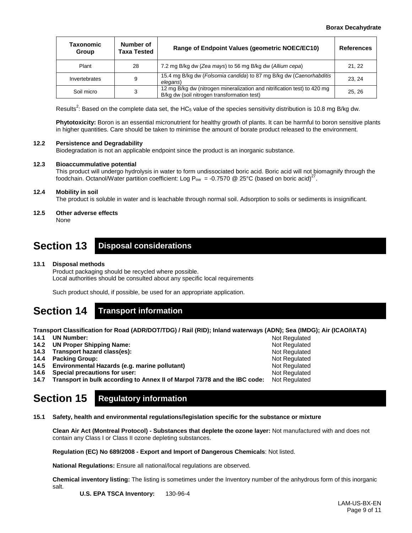| <b>Taxonomic</b><br>Group | Number of<br><b>Taxa Tested</b> | Range of Endpoint Values (geometric NOEC/EC10)                                                                          | <b>References</b> |
|---------------------------|---------------------------------|-------------------------------------------------------------------------------------------------------------------------|-------------------|
| Plant                     | 28                              | 7.2 mg B/kg dw (Zea mays) to 56 mg B/kg dw (Allium cepa)                                                                | 21, 22            |
| Invertebrates             | 9                               | 15.4 mg B/kg dw (Folsomia candida) to 87 mg B/kg dw (Caenorhabditis<br>elegans)                                         | 23.24             |
| Soil micro                | 3                               | 12 mg B/kg dw (nitrogen mineralization and nitrification test) to 420 mg<br>B/kg dw (soil nitrogen transformation test) | 25.26             |

Results<sup>2</sup>: Based on the complete data set, the HC<sub>5</sub> value of the species sensitivity distribution is 10.8 mg B/kg dw.

**Phytotoxicity:** Boron is an essential micronutrient for healthy growth of plants. It can be harmful to boron sensitive plants in higher quantities. Care should be taken to minimise the amount of borate product released to the environment.

#### **12.2 Persistence and Degradability**

Biodegradation is not an applicable endpoint since the product is an inorganic substance.

#### **12.3 Bioaccummulative potential**

This product will undergo hydrolysis in water to form undissociated boric acid. Boric acid will not biomagnify through the foodchain. Octanol/Water partition coefficient: Log P<sub>ow</sub> = -0.7570 @ 25°C (based on boric acid)<sup>27</sup>.

#### **12.4 Mobility in soil**

The product is soluble in water and is leachable through normal soil. Adsorption to soils or sediments is insignificant.

### **12.5 Other adverse effects**

None

### **Section 13 Disposal considerations**

#### **13.1 Disposal methods**

Product packaging should be recycled where possible. Local authorities should be consulted about any specific local requirements

Such product should, if possible, be used for an appropriate application.

### **Section 14 Transport information**

**Transport Classification for Road (ADR/DOT/TDG) / Rail (RID); Inland waterways (ADN); Sea (IMDG); Air (ICAO/IATA)**

Not Regulated Not Regulated Not Regulated Not Regulated Not Regulated Not Regulated

- **14.1 UN Number:**
- **14.2 UN Proper Shipping Name:**
- **14.3 Transport hazard class(es):**
- **14.4 Packing Group:**
- **14.5 Environmental Hazards (e.g. marine pollutant)**
- **14.6 Special precautions for user:**
- **14.7 Transport in bulk according to Annex II of Marpol 73/78 and the IBC code:** Not Regulated

### **Section 15 Regulatory information**

**15.1 Safety, health and environmental regulations/legislation specific for the substance or mixture**

**Clean Air Act (Montreal Protocol) - Substances that deplete the ozone layer:** Not manufactured with and does not contain any Class I or Class II ozone depleting substances.

**Regulation (EC) No 689/2008 - Export and Import of Dangerous Chemicals**: Not listed.

**National Regulations:** Ensure all national/local regulations are observed.

**Chemical inventory listing:** The listing is sometimes under the Inventory number of the anhydrous form of this inorganic

- salt.
- **U.S. EPA TSCA Inventory:** 130-96-4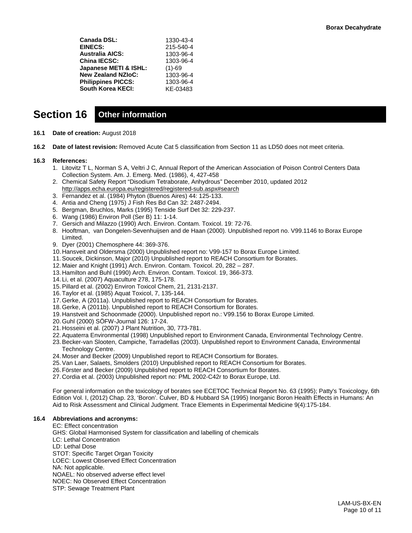| Canada DSL:               | 1330-43-4 |
|---------------------------|-----------|
| <b>EINECS:</b>            | 215-540-4 |
| Australia AICS:           | 1303-96-4 |
| <b>China IECSC:</b>       | 1303-96-4 |
| Japanese METI & ISHL:     | $(1)-69$  |
| <b>New Zealand NZIoC:</b> | 1303-96-4 |
| <b>Philippines PICCS:</b> | 1303-96-4 |
| South Korea KECI:         | KE-03483  |
|                           |           |

### **Section 16 Other information**

- **16.1 Date of creation:** August 2018
- **16.2 Date of latest revision:** Removed Acute Cat 5 classification from Section 11 as LD50 does not meet criteria.

#### **16.3 References:**

- 1. Litovitz T L, Norman S A, Veltri J C, Annual Report of the American Association of Poison Control Centers Data Collection System. Am. J. Emerg. Med. (1986), 4, 427-458
- 2. Chemical Safety Report "Disodium Tetraborate, Anhydrous" December 2010, updated 2012 <http://apps.echa.europa.eu/registered/registered-sub.aspx#search>
- 3. Fernandez et al. (1984) Phyton (Buenos Aires) 44: 125-133.
- 4. Antia and Cheng (1975) J Fish Res Bd Can 32: 2487-2494.
- 5. Bergman, Bruchlos, Marks (1995) Tenside Surf Det 32: 229-237.
- 6. Wang (1986) Environ Poll (Ser B) 11: 1-14.
- 7. Gersich and Milazzo (1990) Arch. Environ. Contam. Toxicol. 19: 72-76.
- 8. Hooftman, van Dongelen-Sevenhuijsen and de Haan (2000). Unpublished report no. V99.1146 to Borax Europe Limited.
- 9. Dyer (2001) Chemosphere 44: 369-376.
- 10. Hansveit and Oldersma (2000) Unpublished report no: V99-157 to Borax Europe Limited.
- 11.Soucek, Dickinson, Major (2010) Unpublished report to REACH Consortium for Borates.
- 12. Maier and Knight (1991) Arch. Environ. Contam. Toxicol. 20, 282 287.
- 13. Hamilton and Buhl (1990) Arch. Environ. Contam. Toxicol. 19, 366-373.
- 14. Li, et al. (2007) Aquaculture 278, 175-178.
- 15.Pillard et al. (2002) Environ Toxicol Chem, 21, 2131-2137.
- 16.Taylor et al. (1985) Aquat Toxicol, 7, 135-144.
- 17.Gerke, A (2011a). Unpublished report to REACH Consortium for Borates.
- 18.Gerke, A (2011b). Unpublished report to REACH Consortium for Borates.
- 19. Hanstveit and Schoonmade (2000). Unpublished report no.: V99.156 to Borax Europe Limited.
- 20.Guhl (2000) SÖFW-Journal 126: 17-24.
- 21. Hosseini et al. (2007) J Plant Nutrition, 30, 773-781.
- 22.Aquaterra Environmental (1998) Unpublished report to Environment Canada, Environmental Technology Centre.
- 23.Becker-van Slooten, Campiche, Tarradellas (2003). Unpublished report to Environment Canada, Environmental Technology Centre.
- 24. Moser and Becker (2009) Unpublished report to REACH Consortium for Borates.
- 25.Van Laer, Salaets, Smolders (2010) Unpublished report to REACH Consortium for Borates.
- 26.Förster and Becker (2009) Unpublished report to REACH Consortium for Borates.
- 27. Cordia et al. (2003) Unpublished report no: PML 2002-C42r to Borax Europe, Ltd.

For general information on the toxicology of borates see ECETOC Technical Report No. 63 (1995); Patty's Toxicology, 6th Edition Vol. I, (2012) Chap. 23, 'Boron'. Culver, BD & Hubbard SA (1995) Inorganic Boron Health Effects in Humans: An Aid to Risk Assessment and Clinical Judgment. Trace Elements in Experimental Medicine 9(4):175-184.

#### **16.4 Abbreviations and acronyms:**

EC: Effect concentration GHS: Global Harmonised System for classification and labelling of chemicals LC: Lethal Concentration LD: Lethal Dose STOT: Specific Target Organ Toxicity LOEC: Lowest Observed Effect Concentration NA: Not applicable. NOAEL: No observed adverse effect level NOEC: No Observed Effect Concentration STP: Sewage Treatment Plant